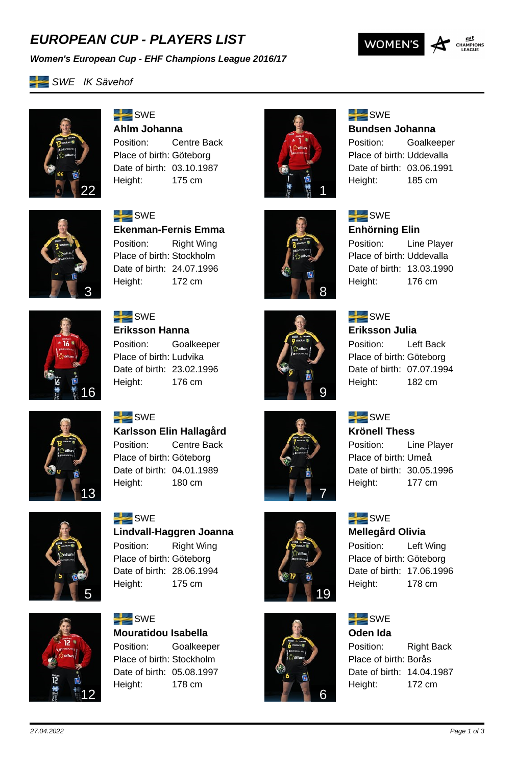## *EUROPEAN CUP - PLAYERS LIST*





**SWE IK Sävehof** 



 $SWE$ **Ahlm Johanna** Position: Centre Back Place of birth: Göteborg Date of birth: 03.10.1987

Height: 175 cm



## $SWE$

 $SWE$ 

**Enhörning Elin**

**Bundsen Johanna** Position: Goalkeeper

Place of birth: Uddevalla Date of birth: 03.06.1991 Height: 185 cm

Position: Line Player Place of birth: Uddevalla Date of birth: 13.03.1990 Height: 176 cm



 $SWE$ **Ekenman-Fernis Emma** Position: Right Wing Place of birth: Stockholm Date of birth: 24.07.1996 Height: 172 cm



 $SWE$ **Eriksson Hanna** Position: Goalkeeper Place of birth: Ludvika Date of birth: 23.02.1996 Height: 176 cm





7

19

### $SWE$ **Eriksson Julia**

Position: Left Back Place of birth: Göteborg Date of birth: 07.07.1994 Height: 182 cm

### $SWE$ **Krönell Thess**

Position: Line Player Place of birth: Umeå Date of birth: 30.05.1996 Height: 177 cm

# $SWE$

### **Mellegård Olivia**

Position: Left Wing Place of birth: Göteborg Date of birth: 17.06.1996 Height: 178 cm

### $SWE$ **Oden Ida**

Position: Right Back Place of birth: Borås Date of birth: 14.04.1987 Height: 172 cm



 $SWE$ **Karlsson Elin Hallagård** Position: Centre Back Place of birth: Göteborg Date of birth: 04.01.1989 Height: 180 cm



**SWE Lindvall-Haggren Joanna** Position: Right Wing Place of birth: Göteborg Date of birth: 28.06.1994 Height: 175 cm



 $SWE$ **Mouratidou Isabella** Position: Goalkeeper Place of birth: Stockholm Date of birth: 05.08.1997 Height: 178 cm



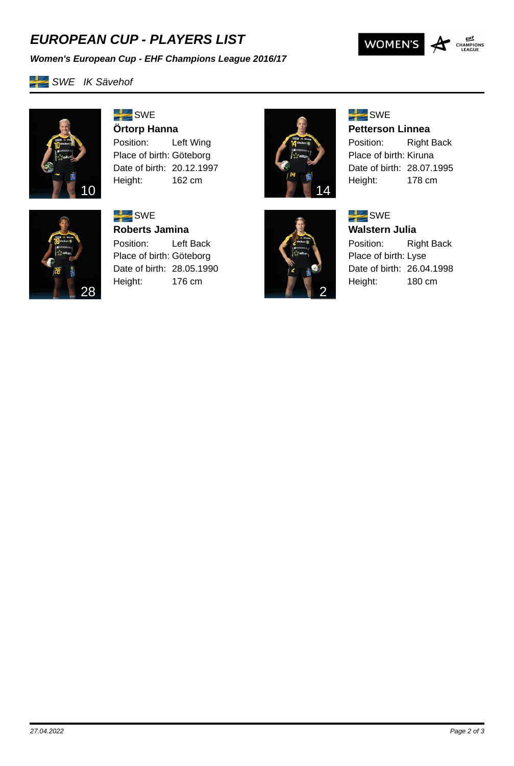## *EUROPEAN CUP - PLAYERS LIST*





**SWE IK Sävehof** 



# $SWE$ **Örtorp Hanna**

Position: Left Wing Place of birth: Göteborg Date of birth: 20.12.1997 Height: 162 cm



28

# $SWE$ **Roberts Jamina** Position: Left Back

Place of birth: Göteborg Date of birth: 28.05.1990 Height: 176 cm



2

### $SWE$

**Petterson Linnea**

Position: Right Back Place of birth: Kiruna Date of birth: 28.07.1995 Height: 178 cm



**Walstern Julia**

Position: Right Back Place of birth: Lyse Date of birth: 26.04.1998 Height: 180 cm